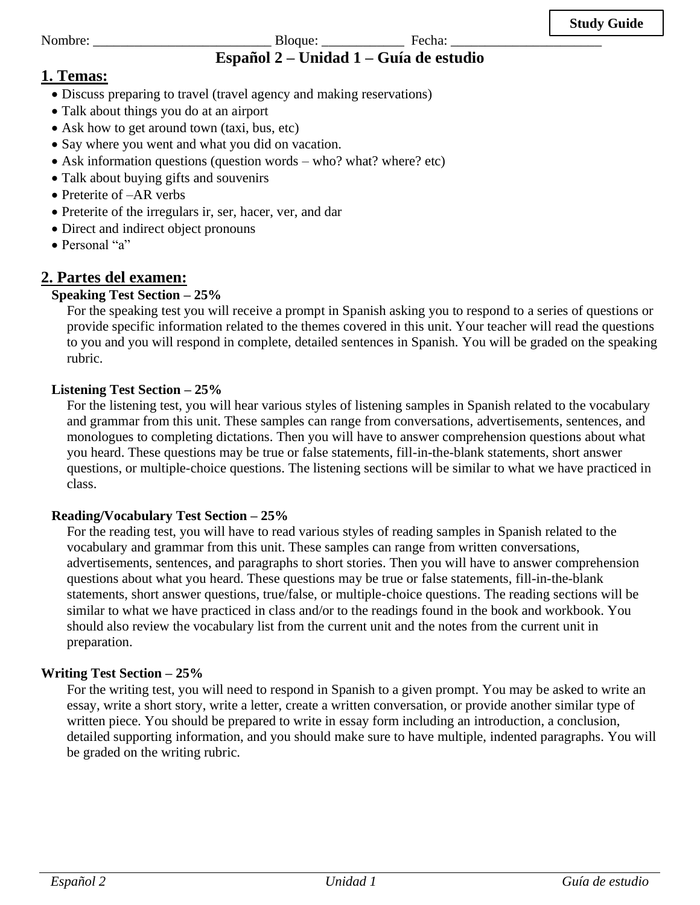#### Nombre: \_\_\_\_\_\_\_\_\_\_\_\_\_\_\_\_\_\_\_\_\_\_\_\_\_\_ Bloque: \_\_\_\_\_\_\_\_\_\_\_\_ Fecha: \_\_\_\_\_\_\_\_\_\_\_\_\_\_\_\_\_\_\_\_\_\_ **Español 2 – Unidad 1 – Guía de estudio**

# **1. Temas:**

- Discuss preparing to travel (travel agency and making reservations)
- Talk about things you do at an airport
- Ask how to get around town (taxi, bus, etc)
- Say where you went and what you did on vacation.
- Ask information questions (question words who? what? where? etc)
- Talk about buying gifts and souvenirs
- Preterite of  $-AR$  verbs
- Preterite of the irregulars ir, ser, hacer, ver, and dar
- Direct and indirect object pronouns
- Personal "a"

# **2. Partes del examen:**

# **Speaking Test Section – 25%**

For the speaking test you will receive a prompt in Spanish asking you to respond to a series of questions or provide specific information related to the themes covered in this unit. Your teacher will read the questions to you and you will respond in complete, detailed sentences in Spanish. You will be graded on the speaking rubric.

## **Listening Test Section – 25%**

For the listening test, you will hear various styles of listening samples in Spanish related to the vocabulary and grammar from this unit. These samples can range from conversations, advertisements, sentences, and monologues to completing dictations. Then you will have to answer comprehension questions about what you heard. These questions may be true or false statements, fill-in-the-blank statements, short answer questions, or multiple-choice questions. The listening sections will be similar to what we have practiced in class.

# **Reading/Vocabulary Test Section – 25%**

For the reading test, you will have to read various styles of reading samples in Spanish related to the vocabulary and grammar from this unit. These samples can range from written conversations, advertisements, sentences, and paragraphs to short stories. Then you will have to answer comprehension questions about what you heard. These questions may be true or false statements, fill-in-the-blank statements, short answer questions, true/false, or multiple-choice questions. The reading sections will be similar to what we have practiced in class and/or to the readings found in the book and workbook. You should also review the vocabulary list from the current unit and the notes from the current unit in preparation.

# **Writing Test Section – 25%**

For the writing test, you will need to respond in Spanish to a given prompt. You may be asked to write an essay, write a short story, write a letter, create a written conversation, or provide another similar type of written piece. You should be prepared to write in essay form including an introduction, a conclusion, detailed supporting information, and you should make sure to have multiple, indented paragraphs. You will be graded on the writing rubric.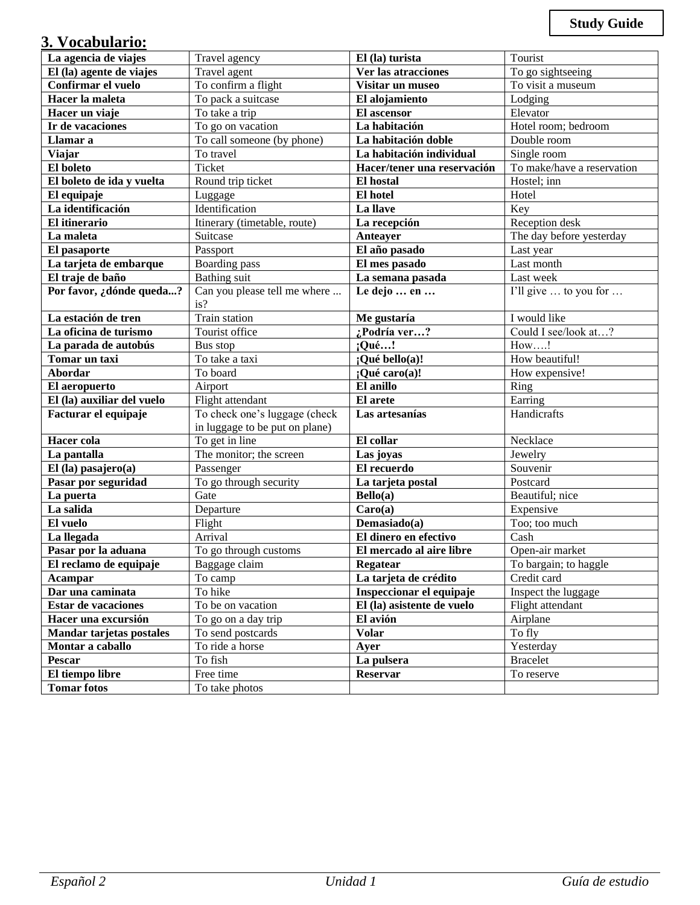# **3. Vocabulario:**

| La agencia de viajes       | Travel agency                  | El (la) turista                  | Tourist                    |
|----------------------------|--------------------------------|----------------------------------|----------------------------|
| El (la) agente de viajes   | Travel agent                   | Ver las atracciones              | To go sightseeing          |
| Confirmar el vuelo         | To confirm a flight            | Visitar un museo                 | To visit a museum          |
| Hacer la maleta            | To pack a suitcase             | El alojamiento                   | Lodging                    |
| Hacer un viaje             | To take a trip                 | El ascensor                      | Elevator                   |
| Ir de vacaciones           | To go on vacation              | La habitación                    | Hotel room; bedroom        |
| Llamar a                   | To call someone (by phone)     | La habitación doble              | Double room                |
| <b>Viajar</b>              | To travel                      | La habitación individual         | Single room                |
| El boleto                  | Ticket                         | Hacer/tener una reservación      | To make/have a reservation |
| El boleto de ida y vuelta  | Round trip ticket              | El hostal                        | Hostel; inn                |
| El equipaje                | Luggage                        | El hotel                         | Hotel                      |
| La identificación          | Identification                 | La llave                         | Key                        |
| El itinerario              | Itinerary (timetable, route)   | La recepción                     | Reception desk             |
| La maleta                  | Suitcase                       | Anteayer                         | The day before yesterday   |
| El pasaporte               | Passport                       | El año pasado                    | Last year                  |
| La tarjeta de embarque     | <b>Boarding</b> pass           | El mes pasado                    | Last month                 |
| El traje de baño           | <b>Bathing</b> suit            | La semana pasada                 | Last week                  |
| Por favor, ¿dónde queda?   | Can you please tell me where   | Le dejo  en                      | I'll give  to you for      |
|                            | is?                            |                                  |                            |
| La estación de tren        | Train station                  | Me gustaría                      | I would like               |
| La oficina de turismo      | Tourist office                 | $\sqrt{\frac{1}{6}}$ Podría ver? | Could I see/look at?       |
| La parada de autobús       | Bus stop                       | $;$ Qué!                         | How!                       |
| Tomar un taxi              | To take a taxi                 | ¡Qué bello(a)!                   | How beautiful!             |
| Abordar                    | To board                       | ¡Qué caro(a)!                    | How expensive!             |
| El aeropuerto              | Airport                        | El anillo                        | Ring                       |
| El (la) auxiliar del vuelo | Flight attendant               | El arete                         | Earring                    |
| Facturar el equipaje       | To check one's luggage (check  | Las artesanías                   | Handicrafts                |
|                            | in luggage to be put on plane) |                                  |                            |
| Hacer cola                 | To get in line                 | El collar                        | Necklace                   |
| La pantalla                | The monitor; the screen        | Las joyas                        | Jewelry                    |
| $El$ (la) pasajero(a)      | Passenger                      | El recuerdo                      | Souvenir                   |
| Pasar por seguridad        | To go through security         | La tarjeta postal                | Postcard                   |
| La puerta                  | Gate                           | Bello(a)                         | Beautiful; nice            |
| La salida                  | Departure                      | Caro(a)                          | Expensive                  |
| El vuelo                   | Flight                         | Demasiado(a)                     | Too; too much              |
| La llegada                 | Arrival                        | El dinero en efectivo            | Cash                       |
| Pasar por la aduana        | To go through customs          | El mercado al aire libre         | Open-air market            |
| El reclamo de equipaje     | Baggage claim                  | Regatear                         | To bargain; to haggle      |
| Acampar                    | To camp                        | La tarjeta de crédito            | Credit card                |
| Dar una caminata           | To hike                        | Inspeccionar el equipaje         | Inspect the luggage        |
| <b>Estar de vacaciones</b> | To be on vacation              | El (la) asistente de vuelo       | Flight attendant           |
| Hacer una excursión        | To go on a day trip            | El avión                         | Airplane                   |
| Mandar tarjetas postales   | To send postcards              | <b>Volar</b>                     | To fly                     |
| Montar a caballo           | To ride a horse                | Ayer                             | Yesterday                  |
| Pescar                     | To fish                        | La pulsera                       | <b>Bracelet</b>            |
| El tiempo libre            | Free time                      | <b>Reservar</b>                  | To reserve                 |
| <b>Tomar fotos</b>         | To take photos                 |                                  |                            |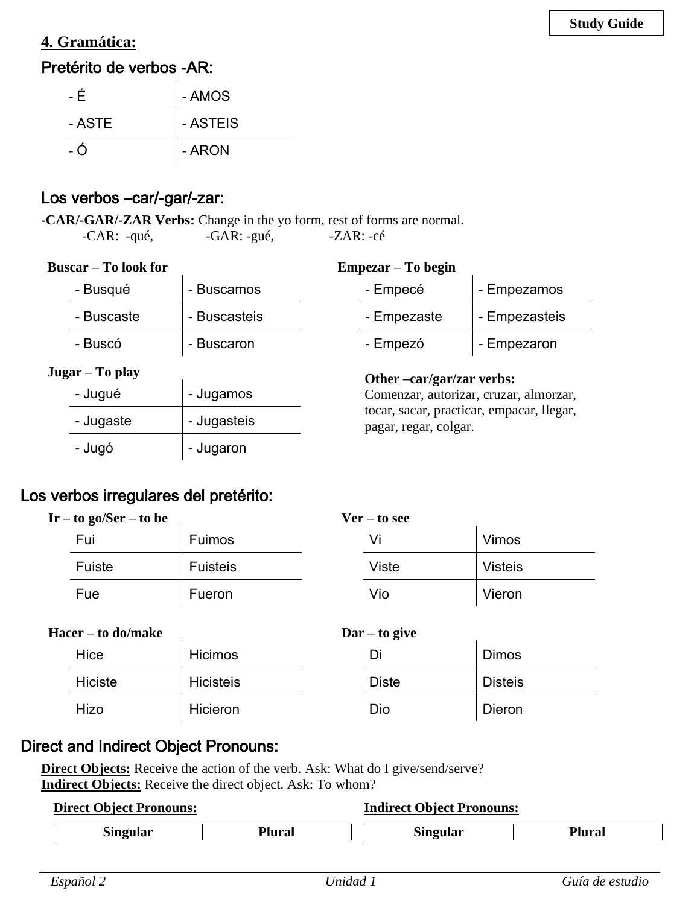# **4. Gramática:**

# Pretérito de verbos -AR:

| - É    | - AMOS   |
|--------|----------|
| - ASTE | - ASTEIS |
| - റ    | - ARON   |

 $\overline{1}$ 

# Los verbos –car/-gar/-zar:

**-CAR/-GAR/-ZAR Verbs:** Change in the yo form, rest of forms are normal. -CAR: -qué, -GAR: -gué, -ZAR: -cé

### **Buscar – To look for**

**Empezar – To begin**

 $\mathbf{r}$ 

| - Busqué        | - Buscamos   | - Empecé                                                           | - Empezamos   |
|-----------------|--------------|--------------------------------------------------------------------|---------------|
| - Buscaste      | - Buscasteis | - Empezaste                                                        | - Empezasteis |
| - Buscó         | - Buscaron   | - Empezó                                                           | - Empezaron   |
| Jugar – To play |              | Other -car/gar/zar verbs:                                          |               |
| - Jugué         | - Jugamos    | Comenzar, autorizar, cruzar, almorzar,                             |               |
| - Jugaste       | - Jugasteis  | tocar, sacar, practicar, empacar, llegar,<br>pagar, regar, colgar. |               |
| - Jugó          | - Jugaron    |                                                                    |               |

# Los verbos irregulares del pretérito:

| $Ir - to go/Ser - to be$ |        | $Ver - to see$  |  |       |                |  |
|--------------------------|--------|-----------------|--|-------|----------------|--|
|                          | Fui    | Fuimos          |  |       | Vimos          |  |
|                          | Fuiste | <b>Fuisteis</b> |  | Viste | <b>Visteis</b> |  |
|                          | Fue    | Fueron          |  | Vio   | Vieron         |  |

| <b>Hacer – to do/make</b> |                | $\text{Dar} - \text{to give}$ |  |              |                |
|---------------------------|----------------|-------------------------------|--|--------------|----------------|
|                           | Hice           | <b>Hicimos</b>                |  | Di           | <b>Dimos</b>   |
|                           | <b>Hiciste</b> | <b>Hicisteis</b>              |  | <b>Diste</b> | <b>Disteis</b> |
|                           | Hizo           | Hicieron                      |  | Dio          | Dieron         |

### Direct and Indirect Object Pronouns:

**Direct Objects:** Receive the action of the verb. Ask: What do I give/send/serve? **Indirect Objects:** Receive the direct object. Ask: To whom?

| <b>Direct Object Pronouns:</b> |               | <b>Indirect Object Pronouns:</b> |        |  |
|--------------------------------|---------------|----------------------------------|--------|--|
| <b>Singular</b>                | <b>Plural</b> | <b>Singular</b>                  | Plural |  |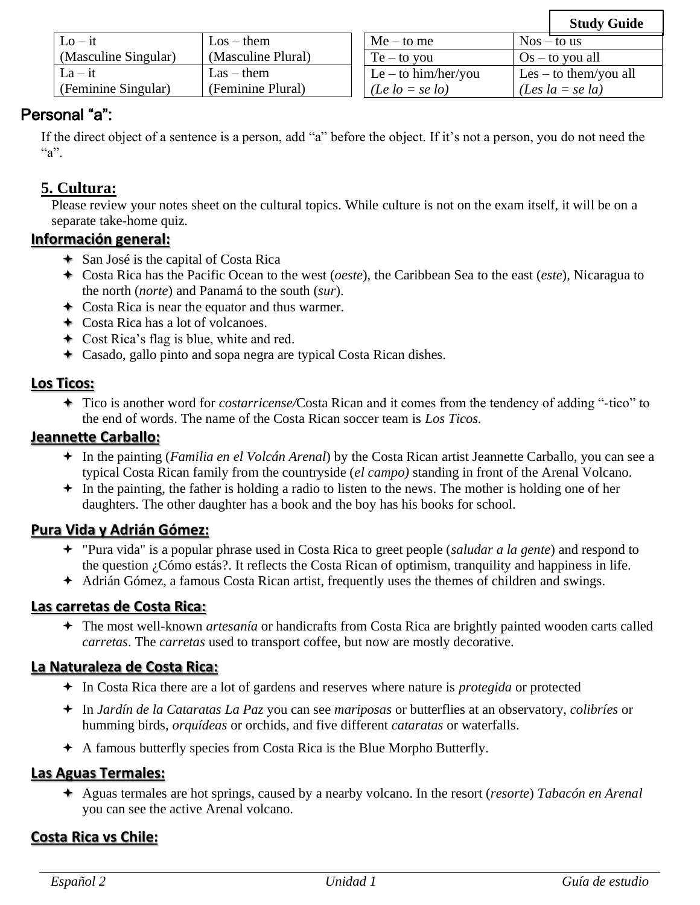## Personal "a":

If the direct object of a sentence is a person, add "a" before the object. If it's not a person, you do not need the  $a$ ".

## **5. Cultura:**

Please review your notes sheet on the cultural topics. While culture is not on the exam itself, it will be on a separate take-home quiz.

### **Información general:**

- San José is the capital of Costa Rica
- Costa Rica has the Pacific Ocean to the west (*oeste*), the Caribbean Sea to the east (*este*), Nicaragua to the north (*norte*) and Panamá to the south (*sur*).
- Costa Rica is near the equator and thus warmer.
- Costa Rica has a lot of volcanoes.
- Cost Rica's flag is blue, white and red.
- Casado, gallo pinto and sopa negra are typical Costa Rican dishes.

### **Los Ticos:**

 Tico is another word for *costarricense/*Costa Rican and it comes from the tendency of adding "-tico" to the end of words. The name of the Costa Rican soccer team is *Los Ticos.*

### **Jeannette Carballo:**

- In the painting (*Familia en el Volcán Arenal*) by the Costa Rican artist Jeannette Carballo, you can see a typical Costa Rican family from the countryside (*el campo)* standing in front of the Arenal Volcano.
- $\div$  In the painting, the father is holding a radio to listen to the news. The mother is holding one of her daughters. The other daughter has a book and the boy has his books for school.

### **Pura Vida y Adrián Gómez:**

- "Pura vida" is a popular phrase used in Costa Rica to greet people (*saludar a la gente*) and respond to the question ¿Cómo estás?. It reflects the Costa Rican of optimism, tranquility and happiness in life.
- Adrián Gómez, a famous Costa Rican artist, frequently uses the themes of children and swings.

### **Las carretas de Costa Rica:**

 The most well-known *artesanía* or handicrafts from Costa Rica are brightly painted wooden carts called *carretas*. The *carretas* used to transport coffee, but now are mostly decorative.

### **La Naturaleza de Costa Rica:**

- In Costa Rica there are a lot of gardens and reserves where nature is *protegida* or protected
- In *Jardín de la Cataratas La Paz* you can see *mariposas* or butterflies at an observatory, *colibríes* or humming birds, *orquídeas* or orchids, and five different *cataratas* or waterfalls.
- A famous butterfly species from Costa Rica is the Blue Morpho Butterfly.

### **Las Aguas Termales:**

 Aguas termales are hot springs, caused by a nearby volcano. In the resort (*resorte*) *Tabacón en Arenal* you can see the active Arenal volcano.

### **Costa Rica vs Chile:**